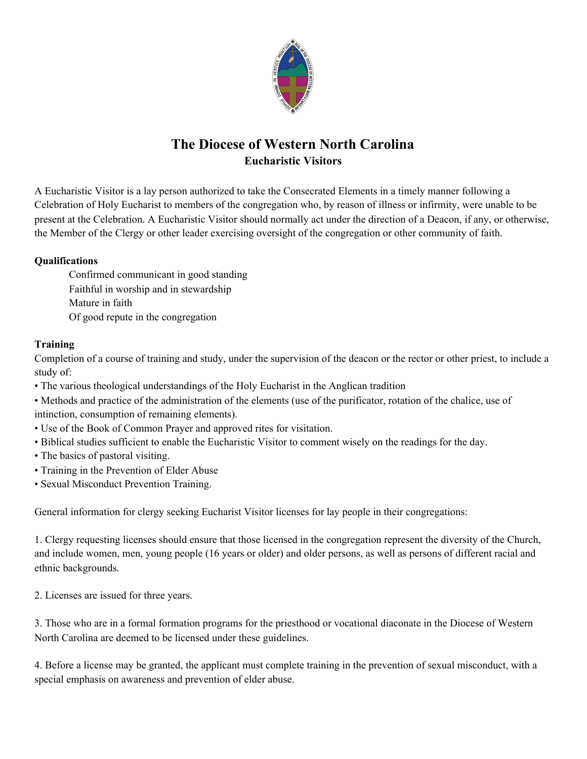

# **The Diocese of Western North Carolina Eucharistic Visitors**

A Eucharistic Visitor is a lay person authorized to take the Consecrated Elements in a timely manner following a Celebration of Holy Eucharist to members of the congregation who, by reason of illness or infirmity, were unable to be present at the Celebration. A Eucharistic Visitor should normally act under the direction of a Deacon, if any, or otherwise, the Member of the Clergy or other leader exercising oversight of the congregation or other community of faith.

### **Qualifications**

Confirmed communicant in good standing Faithful in worship and in stewardship Mature in faith Of good repute in the congregation

#### **Training**

Completion of a course of training and study, under the supervision of the deacon or the rector or other priest, to include a study of:

• The various theological understandings of the Holy Eucharist in the Anglican tradition

• Methods and practice of the administration of the elements (use of the purificator, rotation of the chalice, use of intinction, consumption of remaining elements).

- Use of the Book of Common Prayer and approved rites for visitation.
- Biblical studies sufficient to enable the Eucharistic Visitor to comment wisely on the readings for the day.
- The basics of pastoral visiting.
- Training in the Prevention of Elder Abuse
- Sexual Misconduct Prevention Training.

General information for clergy seeking Eucharist Visitor licenses for lay people in their congregations:

1. Clergy requesting licenses should ensure that those licensed in the congregation represent the diversity of the Church, and include women, men, young people (16 years or older) and older persons, as well as persons of different racial and ethnic backgrounds.

2. Licenses are issued for three years.

3. Those who are in a formal formation programs for the priesthood or vocational diaconate in the Diocese of Western North Carolina are deemed to be licensed under these guidelines.

4. Before a license may be granted, the applicant must complete training in the prevention of sexual misconduct, with a special emphasis on awareness and prevention of elder abuse.